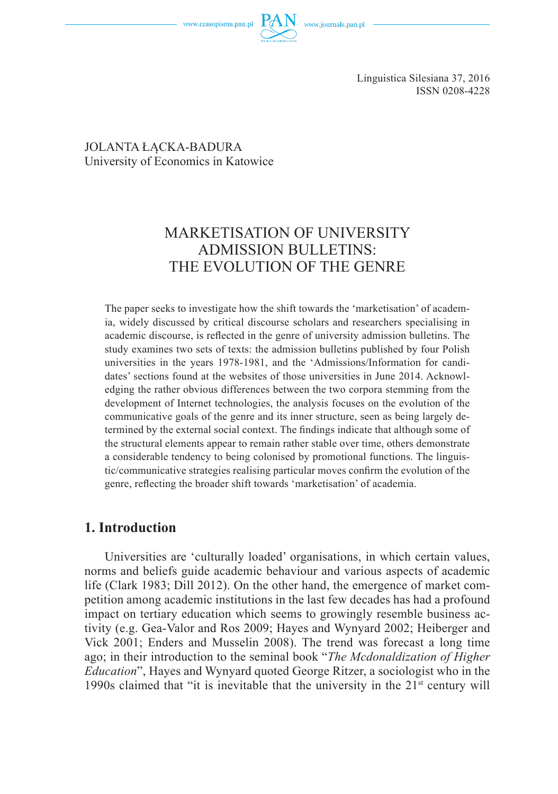

Linguistica Silesiana 37, 2016 ISSN 0208-4228

#### JOLANTA ŁACKA-BADURA University of Economics in Katowice

# MARKETISATION OF UNIVERSITY ADMISSION BULLETINS: THE EVOLUTION OF THE GENRE

The paper seeks to investigate how the shift towards the 'marketisation' of academia, widely discussed by critical discourse scholars and researchers specialising in academic discourse, is reflected in the genre of university admission bulletins. The study examines two sets of texts: the admission bulletins published by four Polish universities in the years 1978-1981, and the 'Admissions/Information for candidates' sections found at the websites of those universities in June 2014. Acknowledging the rather obvious differences between the two corpora stemming from the development of Internet technologies, the analysis focuses on the evolution of the communicative goals of the genre and its inner structure, seen as being largely determined by the external social context. The findings indicate that although some of the structural elements appear to remain rather stable over time, others demonstrate a considerable tendency to being colonised by promotional functions. The linguistic/communicative strategies realising particular moves confirm the evolution of the genre, reflecting the broader shift towards 'marketisation' of academia.

## **1. Introduction**

Universities are 'culturally loaded' organisations, in which certain values, norms and beliefs guide academic behaviour and various aspects of academic life (Clark 1983; Dill 2012). On the other hand, the emergence of market competition among academic institutions in the last few decades has had a profound impact on tertiary education which seems to growingly resemble business activity (e.g. Gea-Valor and Ros 2009; Hayes and Wynyard 2002; Heiberger and Vick 2001; Enders and Musselin 2008). The trend was forecast a long time ago; in their introduction to the seminal book "*The Mcdonaldization of Higher Education*", Hayes and Wynyard quoted George Ritzer, a sociologist who in the 1990s claimed that "it is inevitable that the university in the  $21<sup>st</sup>$  century will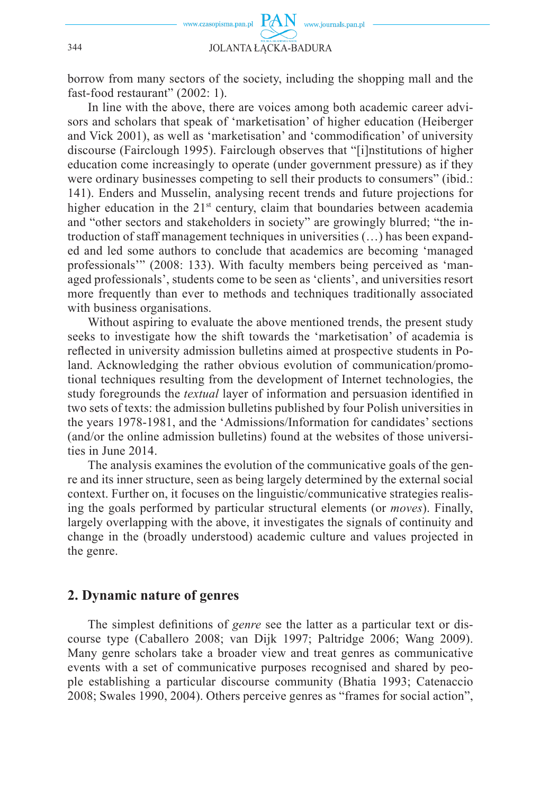

borrow from many sectors of the society, including the shopping mall and the fast-food restaurant" (2002: 1).

In line with the above, there are voices among both academic career advisors and scholars that speak of 'marketisation' of higher education (Heiberger and Vick 2001), as well as 'marketisation' and 'commodification' of university discourse (Fairclough 1995). Fairclough observes that "[i]nstitutions of higher education come increasingly to operate (under government pressure) as if they were ordinary businesses competing to sell their products to consumers" (ibid.: 141). Enders and Musselin, analysing recent trends and future projections for higher education in the  $21<sup>st</sup>$  century, claim that boundaries between academia and "other sectors and stakeholders in society" are growingly blurred; "the introduction of staff management techniques in universities (…) has been expanded and led some authors to conclude that academics are becoming 'managed professionals'" (2008: 133). With faculty members being perceived as 'managed professionals', students come to be seen as 'clients', and universities resort more frequently than ever to methods and techniques traditionally associated with business organisations.

Without aspiring to evaluate the above mentioned trends, the present study seeks to investigate how the shift towards the 'marketisation' of academia is reflected in university admission bulletins aimed at prospective students in Poland. Acknowledging the rather obvious evolution of communication/promotional techniques resulting from the development of Internet technologies, the study foregrounds the *textual* layer of information and persuasion identified in two sets of texts: the admission bulletins published by four Polish universities in the years 1978-1981, and the 'Admissions/Information for candidates' sections (and/or the online admission bulletins) found at the websites of those universities in June 2014.

The analysis examines the evolution of the communicative goals of the genre and its inner structure, seen as being largely determined by the external social context. Further on, it focuses on the linguistic/communicative strategies realising the goals performed by particular structural elements (or *moves*). Finally, largely overlapping with the above, it investigates the signals of continuity and change in the (broadly understood) academic culture and values projected in the genre.

### **2. Dynamic nature of genres**

The simplest definitions of *genre* see the latter as a particular text or discourse type (Caballero 2008; van Dijk 1997; Paltridge 2006; Wang 2009). Many genre scholars take a broader view and treat genres as communicative events with a set of communicative purposes recognised and shared by people establishing a particular discourse community (Bhatia 1993; Catenaccio 2008; Swales 1990, 2004). Others perceive genres as "frames for social action",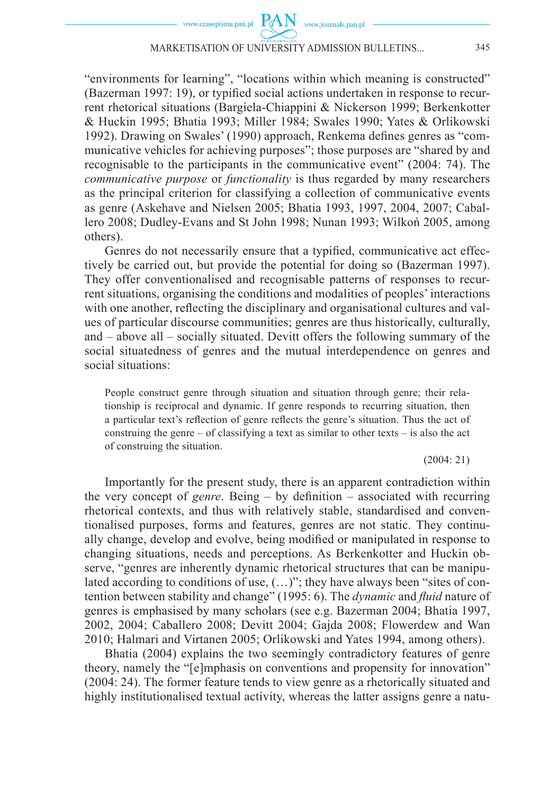"environments for learning", "locations within which meaning is constructed"  $(Bazerman 1997: 19)$ , or typified social actions undertaken in response to recurrent rhetorical situations (Bargiela-Chiappini & Nickerson 1999; Berkenkotter & Huckin 1995; Bhatia 1993; Miller 1984; Swales 1990; Yates & Orlikowski 1992). Drawing on Swales' (1990) approach, Renkema defines genres as "communicative vehicles for achieving purposes"; those purposes are "shared by and recognisable to the participants in the communicative event" (2004: 74). The *communicative purpose* or *functionality* is thus regarded by many researchers as the principal criterion for classifying a collection of communicative events as genre (Askehave and Nielsen 2005; Bhatia 1993, 1997, 2004, 2007; Caballero 2008; Dudley-Evans and St John 1998; Nunan 1993; Wilkoń 2005, among others).

Genres do not necessarily ensure that a typified, communicative act effectively be carried out, but provide the potential for doing so (Bazerman 1997). They offer conventionalised and recognisable patterns of responses to recurrent situations, organising the conditions and modalities of peoples' interactions with one another, reflecting the disciplinary and organisational cultures and values of particular discourse communities; genres are thus historically, culturally, and – above all – socially situated. Devitt offers the following summary of the social situatedness of genres and the mutual interdependence on genres and social situations:

People construct genre through situation and situation through genre; their relationship is reciprocal and dynamic. If genre responds to recurring situation, then a particular text's reflection of genre reflects the genre's situation. Thus the act of construing the genre – of classifying a text as similar to other texts – is also the act of construing the situation.

#### (2004: 21)

Importantly for the present study, there is an apparent contradiction within the very concept of *genre*. Being – by definition – associated with recurring rhetorical contexts, and thus with relatively stable, standardised and conventionalised purposes, forms and features, genres are not static. They continually change, develop and evolve, being modified or manipulated in response to changing situations, needs and perceptions. As Berkenkotter and Huckin observe, "genres are inherently dynamic rhetorical structures that can be manipulated according to conditions of use, (…)"; they have always been "sites of contention between stability and change" (1995: 6). The *dynamic* and *fluid* nature of genres is emphasised by many scholars (see e.g. Bazerman 2004; Bhatia 1997, 2002, 2004; Caballero 2008; Devitt 2004; Gajda 2008; Flowerdew and Wan 2010; Halmari and Virtanen 2005; Orlikowski and Yates 1994, among others).

Bhatia (2004) explains the two seemingly contradictory features of genre theory, namely the "[e]mphasis on conventions and propensity for innovation" (2004: 24). The former feature tends to view genre as a rhetorically situated and highly institutionalised textual activity, whereas the latter assigns genre a natu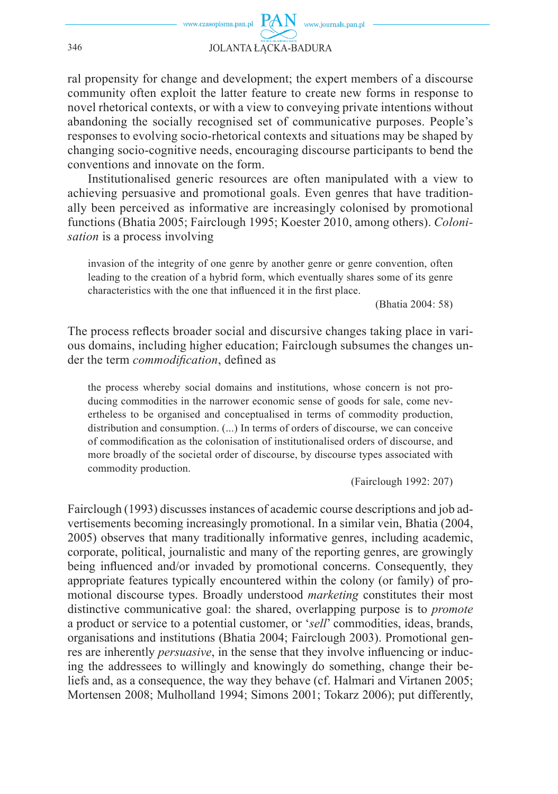ral propensity for change and development; the expert members of a discourse community often exploit the latter feature to create new forms in response to novel rhetorical contexts, or with a view to conveying private intentions without abandoning the socially recognised set of communicative purposes. People's responses to evolving socio-rhetorical contexts and situations may be shaped by changing socio-cognitive needs, encouraging discourse participants to bend the conventions and innovate on the form.

Institutionalised generic resources are often manipulated with a view to achieving persuasive and promotional goals. Even genres that have traditionally been perceived as informative are increasingly colonised by promotional functions (Bhatia 2005; Fairclough 1995; Koester 2010, among others). *Colonisation* is a process involving

invasion of the integrity of one genre by another genre or genre convention, often leading to the creation of a hybrid form, which eventually shares some of its genre characteristics with the one that influenced it in the first place.

(Bhatia 2004: 58)

The process reflects broader social and discursive changes taking place in various domains, including higher education; Fairclough subsumes the changes under the term *commodification*, defined as

the process whereby social domains and institutions, whose concern is not producing commodities in the narrower economic sense of goods for sale, come nevertheless to be organised and conceptualised in terms of commodity production, distribution and consumption. (...) In terms of orders of discourse, we can conceive of commodification as the colonisation of institutionalised orders of discourse, and more broadly of the societal order of discourse, by discourse types associated with commodity production.

(Fairclough 1992: 207)

Fairclough (1993) discusses instances of academic course descriptions and job advertisements becoming increasingly promotional. In a similar vein, Bhatia (2004, 2005) observes that many traditionally informative genres, including academic, corporate, political, journalistic and many of the reporting genres, are growingly being influenced and/or invaded by promotional concerns. Consequently, they appropriate features typically encountered within the colony (or family) of promotional discourse types. Broadly understood *marketing* constitutes their most distinctive communicative goal: the shared, overlapping purpose is to *promote* a product or service to a potential customer, or '*sell*' commodities, ideas, brands, organisations and institutions (Bhatia 2004; Fairclough 2003). Promotional genres are inherently *persuasive*, in the sense that they involve influencing or inducing the addressees to willingly and knowingly do something, change their beliefs and, as a consequence, the way they behave (cf. Halmari and Virtanen 2005; Mortensen 2008; Mulholland 1994; Simons 2001; Tokarz 2006); put differently,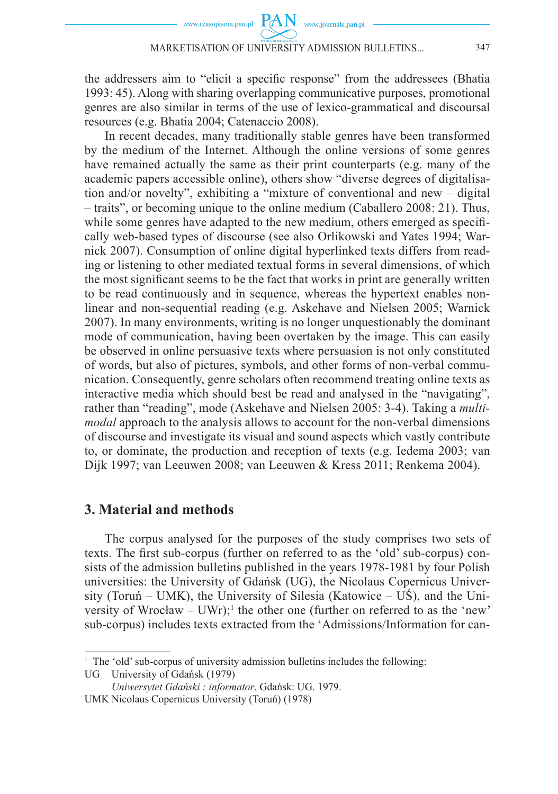the addressers aim to "elicit a specific response" from the addressees (Bhatia 1993: 45). Along with sharing overlapping communicative purposes, promotional genres are also similar in terms of the use of lexico-grammatical and discoursal resources (e.g. Bhatia 2004; Catenaccio 2008).

In recent decades, many traditionally stable genres have been transformed by the medium of the Internet. Although the online versions of some genres have remained actually the same as their print counterparts (e.g. many of the academic papers accessible online), others show "diverse degrees of digitalisation and/or novelty", exhibiting a "mixture of conventional and new – digital – traits", or becoming unique to the online medium (Caballero 2008: 21). Thus, while some genres have adapted to the new medium, others emerged as specifically web-based types of discourse (see also Orlikowski and Yates 1994; Warnick 2007). Consumption of online digital hyperlinked texts differs from reading or listening to other mediated textual forms in several dimensions, of which the most significant seems to be the fact that works in print are generally written to be read continuously and in sequence, whereas the hypertext enables nonlinear and non-sequential reading (e.g. Askehave and Nielsen 2005; Warnick 2007). In many environments, writing is no longer unquestionably the dominant mode of communication, having been overtaken by the image. This can easily be observed in online persuasive texts where persuasion is not only constituted of words, but also of pictures, symbols, and other forms of non-verbal communication. Consequently, genre scholars often recommend treating online texts as interactive media which should best be read and analysed in the "navigating", rather than "reading", mode (Askehave and Nielsen 2005: 3-4). Taking a *multimodal* approach to the analysis allows to account for the non-verbal dimensions of discourse and investigate its visual and sound aspects which vastly contribute to, or dominate, the production and reception of texts (e.g. Iedema 2003; van Dijk 1997; van Leeuwen 2008; van Leeuwen & Kress 2011; Renkema 2004).

#### **3. Material and methods**

The corpus analysed for the purposes of the study comprises two sets of texts. The first sub-corpus (further on referred to as the 'old' sub-corpus) consists of the admission bulletins published in the years 1978-1981 by four Polish universities: the University of Gdańsk (UG), the Nicolaus Copernicus University (Toruń – UMK), the University of Silesia (Katowice – UŚ), and the University of Wrocław – UWr);<sup>1</sup> the other one (further on referred to as the 'new' sub-corpus) includes texts extracted from the 'Admissions/Information for can-

<sup>&</sup>lt;sup>1</sup> The 'old' sub-corpus of university admission bulletins includes the following:

UG University of Gdańsk (1979)

*Uniwersytet Gdański : informator*. Gdańsk: UG. 1979.

UMK Nicolaus Copernicus University (Toruń) (1978)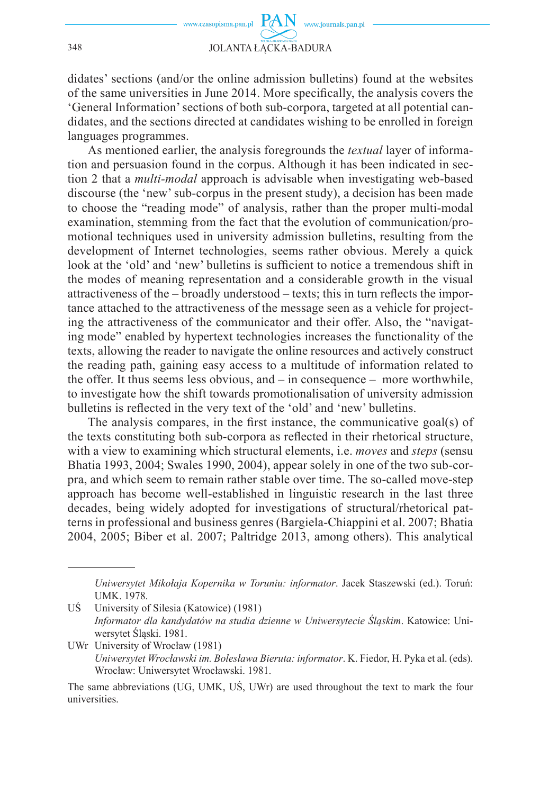didates' sections (and/or the online admission bulletins) found at the websites of the same universities in June 2014. More specifically, the analysis covers the 'General Information' sections of both sub-corpora, targeted at all potential candidates, and the sections directed at candidates wishing to be enrolled in foreign languages programmes.

As mentioned earlier, the analysis foregrounds the *textual* layer of information and persuasion found in the corpus. Although it has been indicated in section 2 that a *multi-modal* approach is advisable when investigating web-based discourse (the 'new' sub-corpus in the present study), a decision has been made to choose the "reading mode" of analysis, rather than the proper multi-modal examination, stemming from the fact that the evolution of communication/promotional techniques used in university admission bulletins, resulting from the development of Internet technologies, seems rather obvious. Merely a quick look at the 'old' and 'new' bulletins is sufficient to notice a tremendous shift in the modes of meaning representation and a considerable growth in the visual attractiveness of the  $-$  broadly understood  $-$  texts; this in turn reflects the importance attached to the attractiveness of the message seen as a vehicle for projecting the attractiveness of the communicator and their offer. Also, the "navigating mode" enabled by hypertext technologies increases the functionality of the texts, allowing the reader to navigate the online resources and actively construct the reading path, gaining easy access to a multitude of information related to the offer. It thus seems less obvious, and – in consequence – more worthwhile, to investigate how the shift towards promotionalisation of university admission bulletins is reflected in the very text of the 'old' and 'new' bulletins.

The analysis compares, in the first instance, the communicative goal(s) of the texts constituting both sub-corpora as reflected in their rhetorical structure, with a view to examining which structural elements, i.e. *moves* and *steps* (sensu Bhatia 1993, 2004; Swales 1990, 2004), appear solely in one of the two sub-corpra, and which seem to remain rather stable over time. The so-called move-step approach has become well-established in linguistic research in the last three decades, being widely adopted for investigations of structural/rhetorical patterns in professional and business genres (Bargiela-Chiappini et al. 2007; Bhatia 2004, 2005; Biber et al. 2007; Paltridge 2013, among others). This analytical

*Uniwersytet Mikołaja Kopernika w Toruniu: informator*. Jacek Staszewski (ed.). Toruń: UMK. 1978.

UŚ University of Silesia (Katowice) (1981) *Informator dla kandydatów na studia dzienne w Uniwersytecie Śląskim*. Katowice: Uniwersytet Śląski. 1981.

UWr University of Wrocław (1981) *Uniwersytet Wrocławski im. Bolesława Bieruta: informator*. K. Fiedor, H. Pyka et al. (eds). Wrocław: Uniwersytet Wrocławski. 1981.

The same abbreviations (UG, UMK, UŚ, UWr) are used throughout the text to mark the four universities.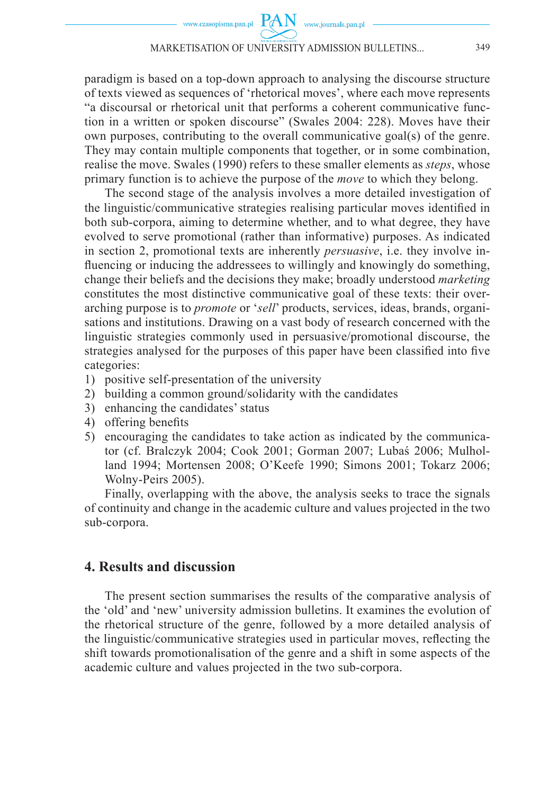paradigm is based on a top-down approach to analysing the discourse structure of texts viewed as sequences of 'rhetorical moves', where each move represents "a discoursal or rhetorical unit that performs a coherent communicative function in a written or spoken discourse" (Swales 2004: 228). Moves have their own purposes, contributing to the overall communicative goal(s) of the genre. They may contain multiple components that together, or in some combination, realise the move. Swales (1990) refers to these smaller elements as *steps*, whose primary function is to achieve the purpose of the *move* to which they belong.

The second stage of the analysis involves a more detailed investigation of the linguistic/communicative strategies realising particular moves identified in both sub-corpora, aiming to determine whether, and to what degree, they have evolved to serve promotional (rather than informative) purposes. As indicated in section 2, promotional texts are inherently *persuasive*, i.e. they involve influencing or inducing the addressees to willingly and knowingly do something, change their beliefs and the decisions they make; broadly understood *marketing* constitutes the most distinctive communicative goal of these texts: their overarching purpose is to *promote* or '*sell*' products, services, ideas, brands, organisations and institutions. Drawing on a vast body of research concerned with the linguistic strategies commonly used in persuasive/promotional discourse, the strategies analysed for the purposes of this paper have been classified into five categories:

- 1) positive self-presentation of the university
- 2) building a common ground/solidarity with the candidates
- 3) enhancing the candidates' status
- 4) offering benefits
- 5) encouraging the candidates to take action as indicated by the communicator (cf. Bralczyk 2004; Cook 2001; Gorman 2007; Lubaś 2006; Mulholland 1994; Mortensen 2008; O'Keefe 1990; Simons 2001; Tokarz 2006; Wolny-Peirs 2005).

Finally, overlapping with the above, the analysis seeks to trace the signals of continuity and change in the academic culture and values projected in the two sub-corpora.

## **4. Results and discussion**

The present section summarises the results of the comparative analysis of the 'old' and 'new' university admission bulletins. It examines the evolution of the rhetorical structure of the genre, followed by a more detailed analysis of the linguistic/communicative strategies used in particular moves, reflecting the shift towards promotionalisation of the genre and a shift in some aspects of the academic culture and values projected in the two sub-corpora.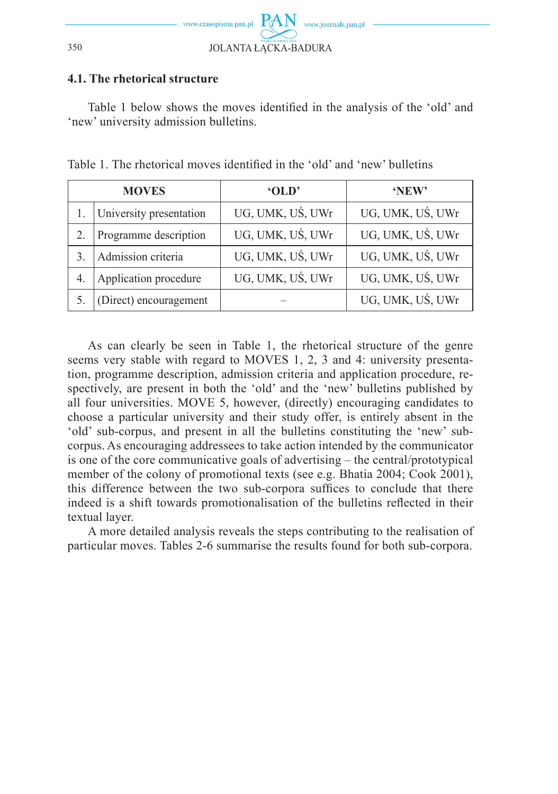

#### **4.1. The rhetorical structure**

Table 1 below shows the moves identified in the analysis of the 'old' and 'new' university admission bulletins.

| <b>MOVES</b> |                         | 'OLD'            | 'NEW'            |  |
|--------------|-------------------------|------------------|------------------|--|
|              | University presentation | UG, UMK, UŚ, UWr | UG, UMK, UŚ, UWr |  |
|              | Programme description   | UG, UMK, UŚ, UWr | UG, UMK, UŚ, UWr |  |
|              | Admission criteria      | UG, UMK, UŚ, UWr | UG, UMK, UŚ, UWr |  |
|              | Application procedure   | UG, UMK, UŚ, UWr | UG, UMK, UŚ, UWr |  |
|              | (Direct) encouragement  |                  | UG, UMK, UŚ, UWr |  |

Table 1. The rhetorical moves identified in the 'old' and 'new' bulletins

As can clearly be seen in Table 1, the rhetorical structure of the genre seems very stable with regard to MOVES 1, 2, 3 and 4: university presentation, programme description, admission criteria and application procedure, respectively, are present in both the 'old' and the 'new' bulletins published by all four universities. MOVE 5, however, (directly) encouraging candidates to choose a particular university and their study offer, is entirely absent in the 'old' sub-corpus, and present in all the bulletins constituting the 'new' subcorpus. As encouraging addressees to take action intended by the communicator is one of the core communicative goals of advertising – the central/prototypical member of the colony of promotional texts (see e.g. Bhatia 2004; Cook 2001), this difference between the two sub-corpora suffices to conclude that there indeed is a shift towards promotionalisation of the bulletins reflected in their textual layer.

A more detailed analysis reveals the steps contributing to the realisation of particular moves. Tables 2-6 summarise the results found for both sub-corpora.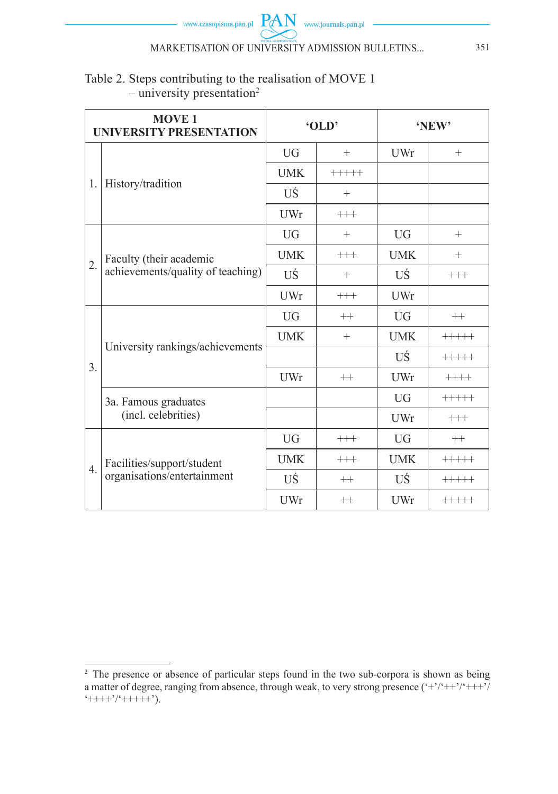

## Table 2. Steps contributing to the realisation of MOVE 1  $-$  university presentation<sup>2</sup>

| <b>MOVE 1</b><br><b>UNIVERSITY PRESENTATION</b> |                                                              | 'OLD       |         | 'NEW'      |          |
|-------------------------------------------------|--------------------------------------------------------------|------------|---------|------------|----------|
| 1.                                              | History/tradition                                            | <b>UG</b>  | $^{+}$  | UWr        | $+$      |
|                                                 |                                                              | <b>UMK</b> | $+++++$ |            |          |
|                                                 |                                                              | UŚ         | $^{+}$  |            |          |
|                                                 |                                                              | UWr        | $+++$   |            |          |
| 2.                                              | Faculty (their academic<br>achievements/quality of teaching) | <b>UG</b>  | $^{+}$  | <b>UG</b>  | $^{+}$   |
|                                                 |                                                              | <b>UMK</b> | $+++$   | <b>UMK</b> | $^{+}$   |
|                                                 |                                                              | UŚ         | $^{+}$  | UŚ         | $^{+++}$ |
|                                                 |                                                              | UWr        | $+++$   | UWr        |          |
| 3.                                              | University rankings/achievements                             | <b>UG</b>  | $++$    | UG         | $++$     |
|                                                 |                                                              | <b>UMK</b> | $^{+}$  | <b>UMK</b> | $+++++$  |
|                                                 |                                                              |            |         | UŚ         | $+++++$  |
|                                                 |                                                              | UWr        | $++$    | UWr        | $+++++$  |
|                                                 | 3a. Famous graduates<br>(incl. celebrities)                  |            |         | $U$ G      | $+++++$  |
|                                                 |                                                              |            |         | UWr        | $^{+++}$ |
| $\overline{4}$ .                                | Facilities/support/student<br>organisations/entertainment    | <b>UG</b>  | $+++$   | <b>UG</b>  | $++$     |
|                                                 |                                                              | <b>UMK</b> | $+++$   | <b>UMK</b> | $+++++$  |
|                                                 |                                                              | UŚ         | $++$    | UŚ         | $+++++$  |
|                                                 |                                                              | UWr        | $++$    | UWr        | $+++++$  |

<sup>&</sup>lt;sup>2</sup> The presence or absence of particular steps found in the two sub-corpora is shown as being a matter of degree, ranging from absence, through weak, to very strong presence  $(*\cdot$ '/' $++\cdot$ '/'  $++++2++++++2$ ).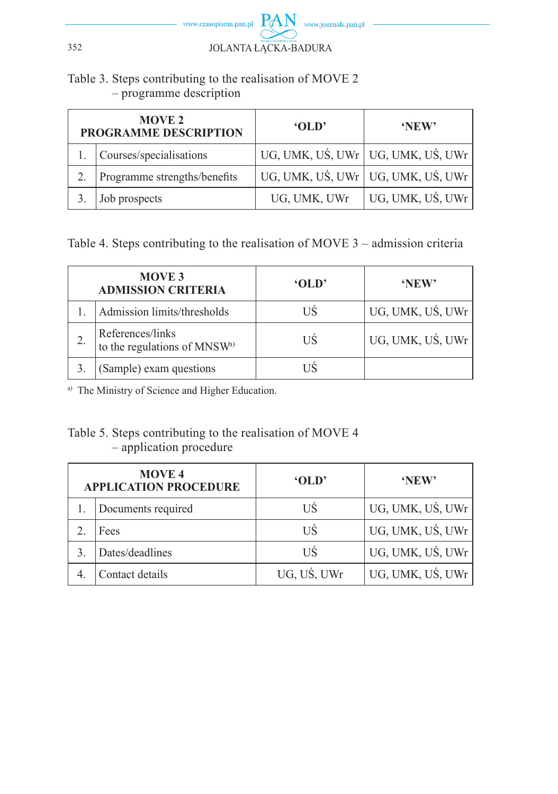

## Table 3. Steps contributing to the realisation of MOVE 2 – programme description

| <b>MOVE 2</b><br>PROGRAMME DESCRIPTION |                              | 'OLD'        | 'NEW'                               |  |
|----------------------------------------|------------------------------|--------------|-------------------------------------|--|
|                                        | Courses/specialisations      |              | UG, UMK, UŚ, UWr   UG, UMK, UŚ, UWr |  |
|                                        | Programme strengths/benefits |              | UG, UMK, UŚ, UWr   UG, UMK, UŚ, UWr |  |
|                                        | Job prospects                | UG, UMK, UWr | UG, UMK, UŚ, UWr                    |  |

Table 4. Steps contributing to the realisation of MOVE 3 – admission criteria

| <b>MOVE 3</b><br><b>ADMISSION CRITERIA</b>                   | 'OLD' | 'NEW'            |
|--------------------------------------------------------------|-------|------------------|
| Admission limits/thresholds                                  | US    | UG, UMK, UŚ, UWr |
| References/links<br>to the regulations of MNSW <sup>a)</sup> | HS    | UG, UMK, UŚ, UWr |
| (Sample) exam questions                                      |       |                  |

a) The Ministry of Science and Higher Education.

## Table 5. Steps contributing to the realisation of MOVE 4 – application procedure

| <b>MOVE 4</b><br><b>APPLICATION PROCEDURE</b> |                    | 'OLD'       | 'NEW'            |
|-----------------------------------------------|--------------------|-------------|------------------|
|                                               | Documents required | US          | UG, UMK, UŚ, UWr |
|                                               | Fees               | US          | UG, UMK, UŚ, UWr |
|                                               | Dates/deadlines    | US          | UG, UMK, UŚ, UWr |
|                                               | Contact details    | UG, UŚ, UWr | UG, UMK, UŚ, UWr |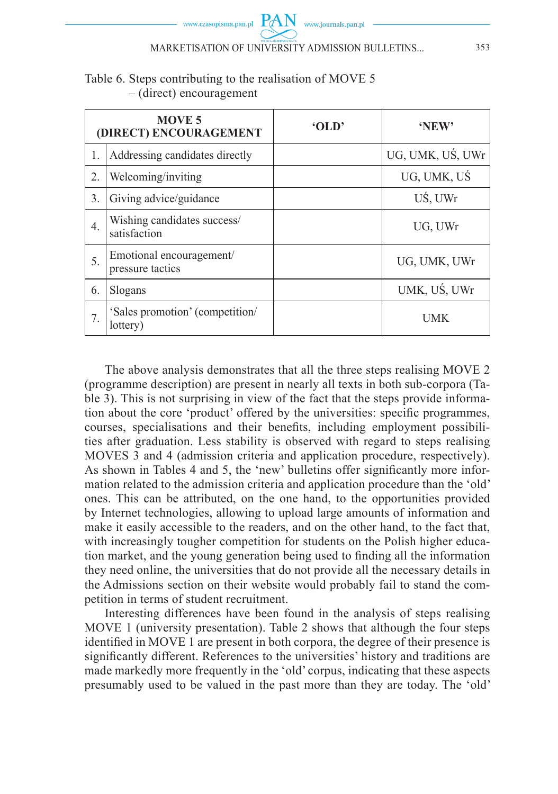

### Table 6. Steps contributing to the realisation of MOVE 5 – (direct) encouragement

| <b>MOVE 5</b><br>(DIRECT) ENCOURAGEMENT |                                              | 'OLD' | 'NEW'            |
|-----------------------------------------|----------------------------------------------|-------|------------------|
| 1.                                      | Addressing candidates directly               |       | UG, UMK, UŚ, UWr |
| 2.                                      | Welcoming/inviting                           |       | UG, UMK, UŚ      |
| 3.                                      | Giving advice/guidance                       |       | UŚ, UWr          |
| $\overline{4}$ .                        | Wishing candidates success/<br>satisfaction  |       | UG, UWr          |
| 5.                                      | Emotional encouragement/<br>pressure tactics |       | UG, UMK, UWr     |
| 6.                                      | Slogans                                      |       | UMK, UŚ, UWr     |
|                                         | 'Sales promotion' (competition/<br>lottery)  |       | UMK              |

The above analysis demonstrates that all the three steps realising MOVE 2 (programme description) are present in nearly all texts in both sub-corpora (Table 3). This is not surprising in view of the fact that the steps provide information about the core 'product' offered by the universities: specific programmes, courses, specialisations and their benefits, including employment possibilities after graduation. Less stability is observed with regard to steps realising MOVES 3 and 4 (admission criteria and application procedure, respectively). As shown in Tables 4 and 5, the 'new' bulletins offer significantly more information related to the admission criteria and application procedure than the 'old' ones. This can be attributed, on the one hand, to the opportunities provided by Internet technologies, allowing to upload large amounts of information and make it easily accessible to the readers, and on the other hand, to the fact that, with increasingly tougher competition for students on the Polish higher education market, and the young generation being used to finding all the information they need online, the universities that do not provide all the necessary details in the Admissions section on their website would probably fail to stand the competition in terms of student recruitment.

Interesting differences have been found in the analysis of steps realising MOVE 1 (university presentation). Table 2 shows that although the four steps identified in MOVE 1 are present in both corpora, the degree of their presence is significantly different. References to the universities' history and traditions are made markedly more frequently in the 'old' corpus, indicating that these aspects presumably used to be valued in the past more than they are today. The 'old'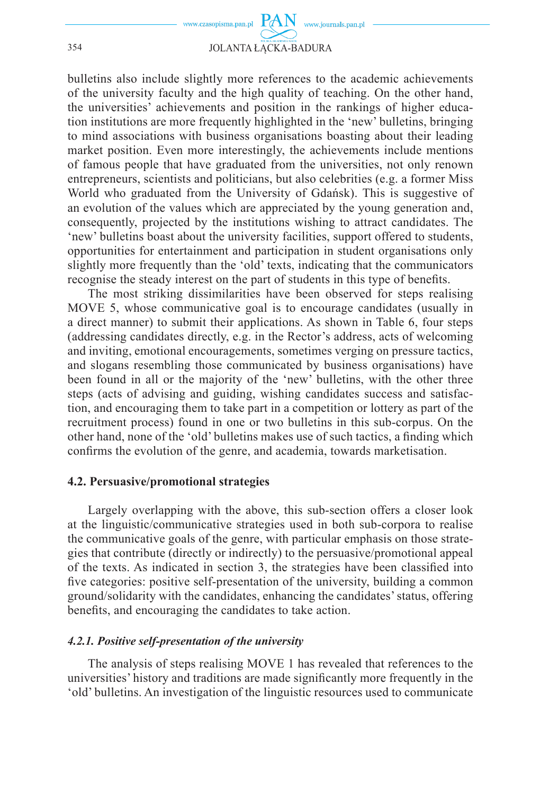

bulletins also include slightly more references to the academic achievements of the university faculty and the high quality of teaching. On the other hand, the universities' achievements and position in the rankings of higher education institutions are more frequently highlighted in the 'new' bulletins, bringing to mind associations with business organisations boasting about their leading market position. Even more interestingly, the achievements include mentions of famous people that have graduated from the universities, not only renown entrepreneurs, scientists and politicians, but also celebrities (e.g. a former Miss World who graduated from the University of Gdańsk). This is suggestive of an evolution of the values which are appreciated by the young generation and, consequently, projected by the institutions wishing to attract candidates. The 'new' bulletins boast about the university facilities, support offered to students, opportunities for entertainment and participation in student organisations only slightly more frequently than the 'old' texts, indicating that the communicators recognise the steady interest on the part of students in this type of benefits.

The most striking dissimilarities have been observed for steps realising MOVE 5, whose communicative goal is to encourage candidates (usually in a direct manner) to submit their applications. As shown in Table 6, four steps (addressing candidates directly, e.g. in the Rector's address, acts of welcoming and inviting, emotional encouragements, sometimes verging on pressure tactics, and slogans resembling those communicated by business organisations) have been found in all or the majority of the 'new' bulletins, with the other three steps (acts of advising and guiding, wishing candidates success and satisfaction, and encouraging them to take part in a competition or lottery as part of the recruitment process) found in one or two bulletins in this sub-corpus. On the other hand, none of the 'old' bulletins makes use of such tactics, a finding which confirms the evolution of the genre, and academia, towards marketisation.

#### **4.2. Persuasive/promotional strategies**

Largely overlapping with the above, this sub-section offers a closer look at the linguistic/communicative strategies used in both sub-corpora to realise the communicative goals of the genre, with particular emphasis on those strategies that contribute (directly or indirectly) to the persuasive/promotional appeal of the texts. As indicated in section 3, the strategies have been classified into five categories: positive self-presentation of the university, building a common ground/solidarity with the candidates, enhancing the candidates' status, offering benefits, and encouraging the candidates to take action.

#### *4.2.1. Positive self-presentation of the university*

The analysis of steps realising MOVE 1 has revealed that references to the universities' history and traditions are made significantly more frequently in the 'old' bulletins. An investigation of the linguistic resources used to communicate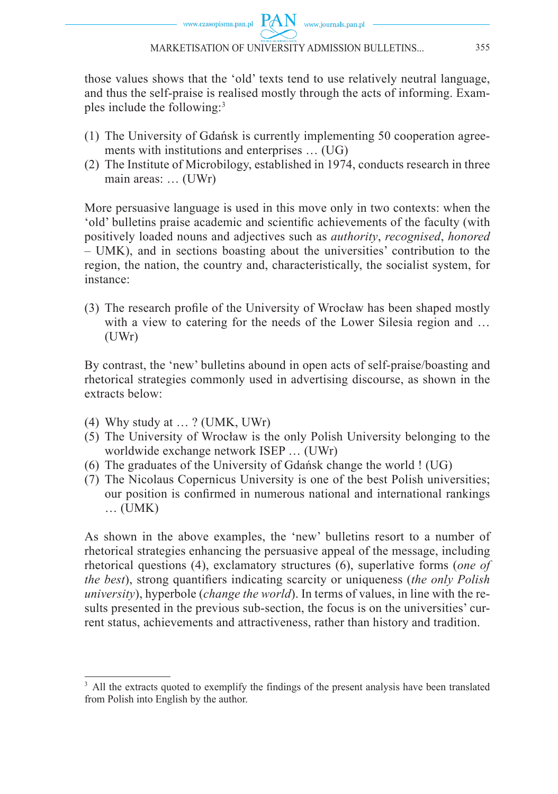those values shows that the 'old' texts tend to use relatively neutral language, and thus the self-praise is realised mostly through the acts of informing. Examples include the following:3

- (1) The University of Gdańsk is currently implementing 50 cooperation agreements with institutions and enterprises … (UG)
- (2) The Institute of Microbilogy, established in 1974, conducts research in three main areas: … (UWr)

More persuasive language is used in this move only in two contexts: when the 'old' bulletins praise academic and scientific achievements of the faculty (with positively loaded nouns and adjectives such as *authority*, *recognised*, *honored* – UMK), and in sections boasting about the universities' contribution to the region, the nation, the country and, characteristically, the socialist system, for instance:

(3) The research profile of the University of Wrocław has been shaped mostly with a view to catering for the needs of the Lower Silesia region and ... (UWr)

By contrast, the 'new' bulletins abound in open acts of self-praise/boasting and rhetorical strategies commonly used in advertising discourse, as shown in the extracts below:

- (4) Why study at … ? (UMK, UWr)
- (5) The University of Wrocław is the only Polish University belonging to the worldwide exchange network ISEP … (UWr)
- (6) The graduates of the University of Gdańsk change the world  $\frac{1}{1}$  (UG)
- (7) The Nicolaus Copernicus University is one of the best Polish universities; our position is confirmed in numerous national and international rankings … (UMK)

As shown in the above examples, the 'new' bulletins resort to a number of rhetorical strategies enhancing the persuasive appeal of the message, including rhetorical questions (4), exclamatory structures (6), superlative forms (*one of the best*), strong quantifiers indicating scarcity or uniqueness (*the only Polish university*), hyperbole (*change the world*). In terms of values, in line with the results presented in the previous sub-section, the focus is on the universities' current status, achievements and attractiveness, rather than history and tradition.

<sup>&</sup>lt;sup>3</sup> All the extracts quoted to exemplify the findings of the present analysis have been translated from Polish into English by the author.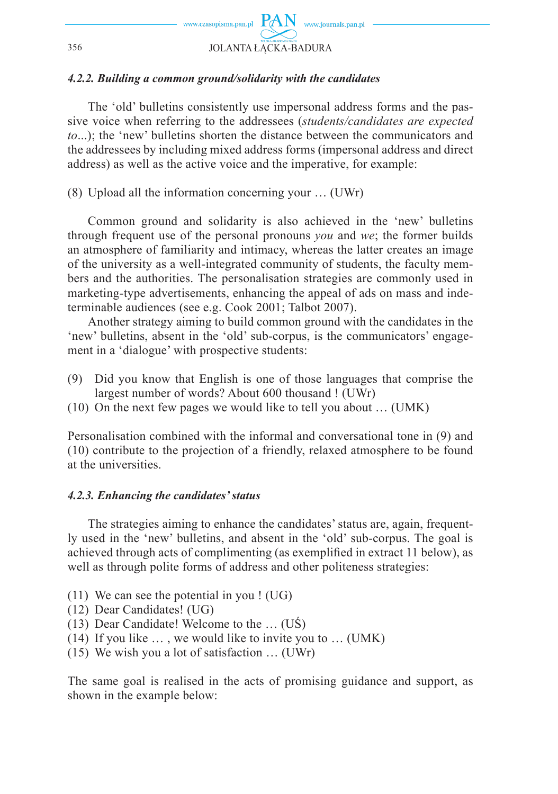

#### *4.2.2. Building a common ground/solidarity with the candidates*

The 'old' bulletins consistently use impersonal address forms and the passive voice when referring to the addressees (*students/candidates are expected to*...); the 'new' bulletins shorten the distance between the communicators and the addressees by including mixed address forms (impersonal address and direct address) as well as the active voice and the imperative, for example:

(8) Upload all the information concerning your … (UWr)

Common ground and solidarity is also achieved in the 'new' bulletins through frequent use of the personal pronouns *you* and *we*; the former builds an atmosphere of familiarity and intimacy, whereas the latter creates an image of the university as a well-integrated community of students, the faculty members and the authorities. The personalisation strategies are commonly used in marketing-type advertisements, enhancing the appeal of ads on mass and indeterminable audiences (see e.g. Cook 2001; Talbot 2007).

Another strategy aiming to build common ground with the candidates in the 'new' bulletins, absent in the 'old' sub-corpus, is the communicators' engagement in a 'dialogue' with prospective students:

- (9) Did you know that English is one of those languages that comprise the largest number of words? About 600 thousand ! (UWr)
- (10) On the next few pages we would like to tell you about … (UMK)

Personalisation combined with the informal and conversational tone in (9) and (10) contribute to the projection of a friendly, relaxed atmosphere to be found at the universities.

#### *4.2.3. Enhancing the candidates' status*

The strategies aiming to enhance the candidates' status are, again, frequently used in the 'new' bulletins, and absent in the 'old' sub-corpus. The goal is achieved through acts of complimenting (as exemplified in extract 11 below), as well as through polite forms of address and other politeness strategies:

- (11) We can see the potential in you ! (UG)
- (12) Dear Candidates! (UG)
- (13) Dear Candidate! Welcome to the … (UŚ)
- (14) If you like … , we would like to invite you to … (UMK)
- (15) We wish you a lot of satisfaction … (UWr)

The same goal is realised in the acts of promising guidance and support, as shown in the example below: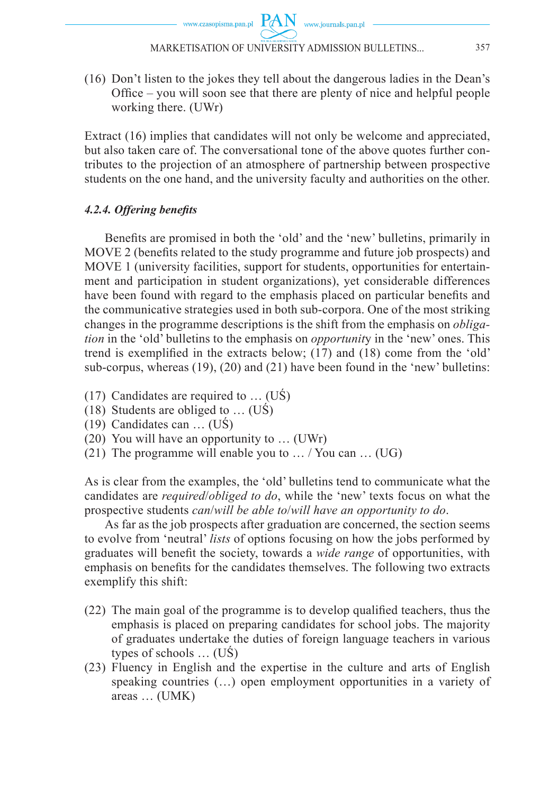www.czasopisma.pan.pl  $\hbox{ PAN }\,$  www.journals.pan.pl

(16) Don't listen to the jokes they tell about the dangerous ladies in the Dean's Office – you will soon see that there are plenty of nice and helpful people working there. (UWr)

Extract (16) implies that candidates will not only be welcome and appreciated, but also taken care of. The conversational tone of the above quotes further contributes to the projection of an atmosphere of partnership between prospective students on the one hand, and the university faculty and authorities on the other.

### *4.2.4. Offering benefi ts*

Benefits are promised in both the 'old' and the 'new' bulletins, primarily in MOVE 2 (benefits related to the study programme and future job prospects) and MOVE 1 (university facilities, support for students, opportunities for entertainment and participation in student organizations), yet considerable differences have been found with regard to the emphasis placed on particular benefits and the communicative strategies used in both sub-corpora. One of the most striking changes in the programme descriptions is the shift from the emphasis on *obligation* in the 'old' bulletins to the emphasis on *opportunit*y in the 'new' ones. This trend is exemplified in the extracts below:  $(17)$  and  $(18)$  come from the 'old' sub-corpus, whereas (19), (20) and (21) have been found in the 'new' bulletins:

- (17) Candidates are required to … (UŚ)
- (18) Students are obliged to … (UŚ)
- (19) Candidates can … (UŚ)
- (20) You will have an opportunity to … (UWr)
- (21) The programme will enable you to … / You can … (UG)

As is clear from the examples, the 'old' bulletins tend to communicate what the candidates are *required*/*obliged to do*, while the 'new' texts focus on what the prospective students *can*/*will be able to*/*will have an opportunity to do*.

As far as the job prospects after graduation are concerned, the section seems to evolve from 'neutral' *lists* of options focusing on how the jobs performed by graduates will benefit the society, towards a *wide range* of opportunities, with emphasis on benefits for the candidates themselves. The following two extracts exemplify this shift:

- $(22)$  The main goal of the programme is to develop qualified teachers, thus the emphasis is placed on preparing candidates for school jobs. The majority of graduates undertake the duties of foreign language teachers in various types of schools … (UŚ)
- (23) Fluency in English and the expertise in the culture and arts of English speaking countries (…) open employment opportunities in a variety of areas … (UMK)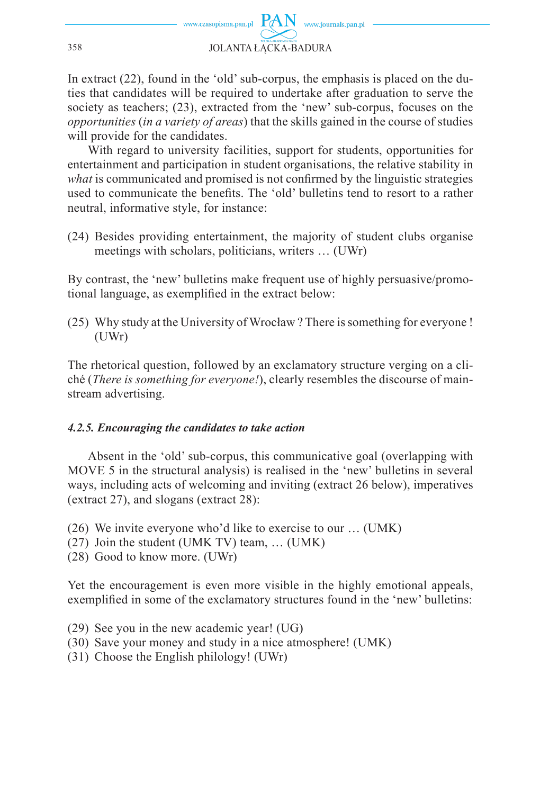In extract (22), found in the 'old' sub-corpus, the emphasis is placed on the duties that candidates will be required to undertake after graduation to serve the society as teachers; (23), extracted from the 'new' sub-corpus, focuses on the *opportunities* (*in a variety of areas*) that the skills gained in the course of studies will provide for the candidates.

With regard to university facilities, support for students, opportunities for entertainment and participation in student organisations, the relative stability in *what* is communicated and promised is not confirmed by the linguistic strategies used to communicate the benefits. The 'old' bulletins tend to resort to a rather neutral, informative style, for instance:

(24) Besides providing entertainment, the majority of student clubs organise meetings with scholars, politicians, writers … (UWr)

By contrast, the 'new' bulletins make frequent use of highly persuasive/promotional language, as exemplified in the extract below:

(25) Why study at the University of Wrocław ? There is something for everyone ! (UWr)

The rhetorical question, followed by an exclamatory structure verging on a cliché (*There is something for everyone!*), clearly resembles the discourse of mainstream advertising.

## *4.2.5. Encouraging the candidates to take action*

Absent in the 'old' sub-corpus, this communicative goal (overlapping with MOVE 5 in the structural analysis) is realised in the 'new' bulletins in several ways, including acts of welcoming and inviting (extract 26 below), imperatives (extract 27), and slogans (extract 28):

- (26) We invite everyone who'd like to exercise to our … (UMK)
- (27) Join the student (UMK TV) team, … (UMK)
- (28) Good to know more. (UWr)

Yet the encouragement is even more visible in the highly emotional appeals, exemplified in some of the exclamatory structures found in the 'new' bulletins:

- (29) See you in the new academic year! (UG)
- (30) Save your money and study in a nice atmosphere! (UMK)
- (31) Choose the English philology! (UWr)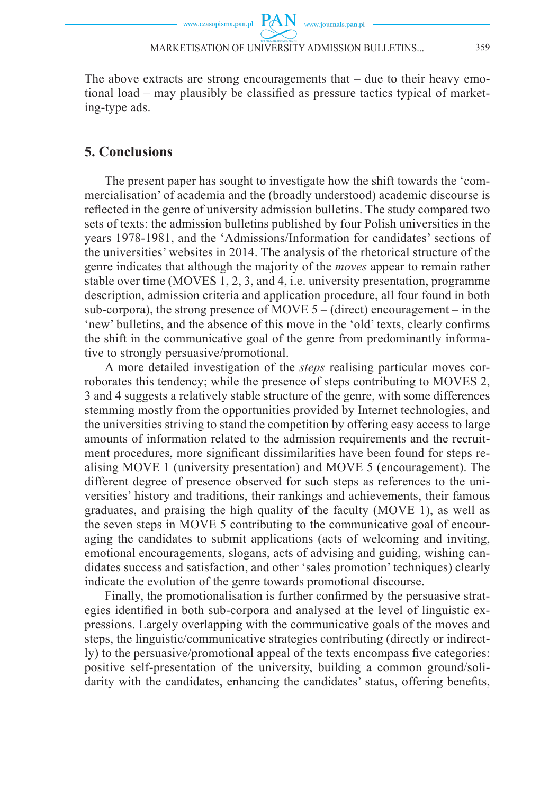$PAN$  www.journals.pan.pl

The above extracts are strong encouragements that  $-$  due to their heavy emotional load – may plausibly be classified as pressure tactics typical of marketing-type ads.

#### **5. Conclusions**

The present paper has sought to investigate how the shift towards the 'commercialisation' of academia and the (broadly understood) academic discourse is reflected in the genre of university admission bulletins. The study compared two sets of texts: the admission bulletins published by four Polish universities in the years 1978-1981, and the 'Admissions/Information for candidates' sections of the universities' websites in 2014. The analysis of the rhetorical structure of the genre indicates that although the majority of the *moves* appear to remain rather stable over time (MOVES 1, 2, 3, and 4, i.e. university presentation, programme description, admission criteria and application procedure, all four found in both sub-corpora), the strong presence of MOVE  $5 -$  (direct) encouragement – in the 'new' bulletins, and the absence of this move in the 'old' texts, clearly confirms the shift in the communicative goal of the genre from predominantly informative to strongly persuasive/promotional.

A more detailed investigation of the *steps* realising particular moves corroborates this tendency; while the presence of steps contributing to MOVES 2, 3 and 4 suggests a relatively stable structure of the genre, with some differences stemming mostly from the opportunities provided by Internet technologies, and the universities striving to stand the competition by offering easy access to large amounts of information related to the admission requirements and the recruitment procedures, more significant dissimilarities have been found for steps realising MOVE 1 (university presentation) and MOVE 5 (encouragement). The different degree of presence observed for such steps as references to the universities' history and traditions, their rankings and achievements, their famous graduates, and praising the high quality of the faculty (MOVE 1), as well as the seven steps in MOVE 5 contributing to the communicative goal of encouraging the candidates to submit applications (acts of welcoming and inviting, emotional encouragements, slogans, acts of advising and guiding, wishing candidates success and satisfaction, and other 'sales promotion' techniques) clearly indicate the evolution of the genre towards promotional discourse.

Finally, the promotionalisation is further confirmed by the persuasive strategies identified in both sub-corpora and analysed at the level of linguistic expressions. Largely overlapping with the communicative goals of the moves and steps, the linguistic/communicative strategies contributing (directly or indirectly) to the persuasive/promotional appeal of the texts encompass five categories: positive self-presentation of the university, building a common ground/solidarity with the candidates, enhancing the candidates' status, offering benefits,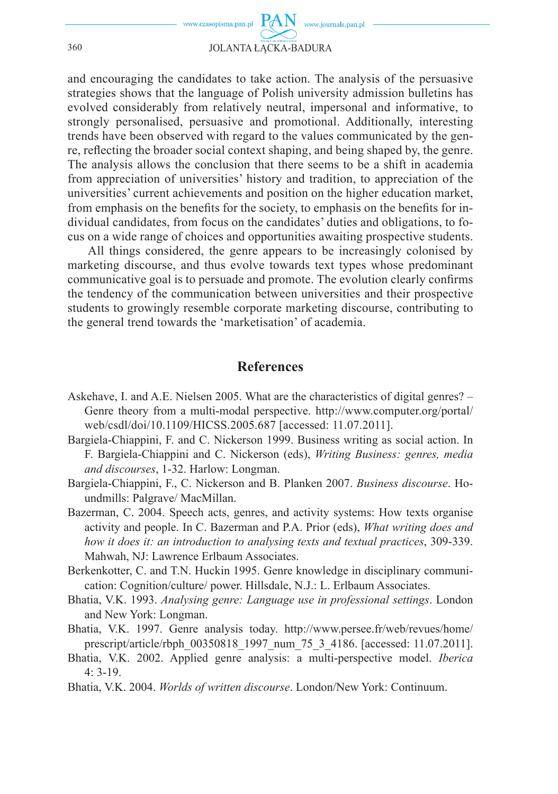

and encouraging the candidates to take action. The analysis of the persuasive strategies shows that the language of Polish university admission bulletins has evolved considerably from relatively neutral, impersonal and informative, to strongly personalised, persuasive and promotional. Additionally, interesting trends have been observed with regard to the values communicated by the genre, reflecting the broader social context shaping, and being shaped by, the genre. The analysis allows the conclusion that there seems to be a shift in academia from appreciation of universities' history and tradition, to appreciation of the universities' current achievements and position on the higher education market, from emphasis on the benefits for the society, to emphasis on the benefits for individual candidates, from focus on the candidates' duties and obligations, to focus on a wide range of choices and opportunities awaiting prospective students.

All things considered, the genre appears to be increasingly colonised by marketing discourse, and thus evolve towards text types whose predominant communicative goal is to persuade and promote. The evolution clearly confirms the tendency of the communication between universities and their prospective students to growingly resemble corporate marketing discourse, contributing to the general trend towards the 'marketisation' of academia.

#### **References**

- Askehave, I. and A.E. Nielsen 2005. What are the characteristics of digital genres? Genre theory from a multi-modal perspective. http://www.computer.org/portal/ web/csdl/doi/10.1109/HICSS.2005.687 [accessed: 11.07.2011].
- Bargiela-Chiappini, F. and C. Nickerson 1999. Business writing as social action. In F. Bargiela-Chiappini and C. Nickerson (eds), *Writing Business: genres, media and discourses*, 1-32. Harlow: Longman.
- Bargiela-Chiappini, F., C. Nickerson and B. Planken 2007. *Business discourse*. Houndmills: Palgrave/ MacMillan.
- Bazerman, C. 2004. Speech acts, genres, and activity systems: How texts organise activity and people. In C. Bazerman and P.A. Prior (eds), *What writing does and how it does it: an introduction to analysing texts and textual practices*, 309-339. Mahwah, NJ: Lawrence Erlbaum Associates.
- Berkenkotter, C. and T.N. Huckin 1995. Genre knowledge in disciplinary communication: Cognition/culture/ power. Hillsdale, N.J.: L. Erlbaum Associates.
- Bhatia, V.K. 1993. *Analysing genre: Language use in professional settings*. London and New York: Longman.
- Bhatia, V.K. 1997. Genre analysis today. http://www.persee.fr/web/revues/home/ prescript/article/rbph\_00350818\_1997\_num\_75\_3\_4186. [accessed: 11.07.2011].
- Bhatia, V.K. 2002. Applied genre analysis: a multi-perspective model. *Iberica*   $4:3-19$ .
- Bhatia, V.K. 2004. *Worlds of written discourse*. London/New York: Continuum.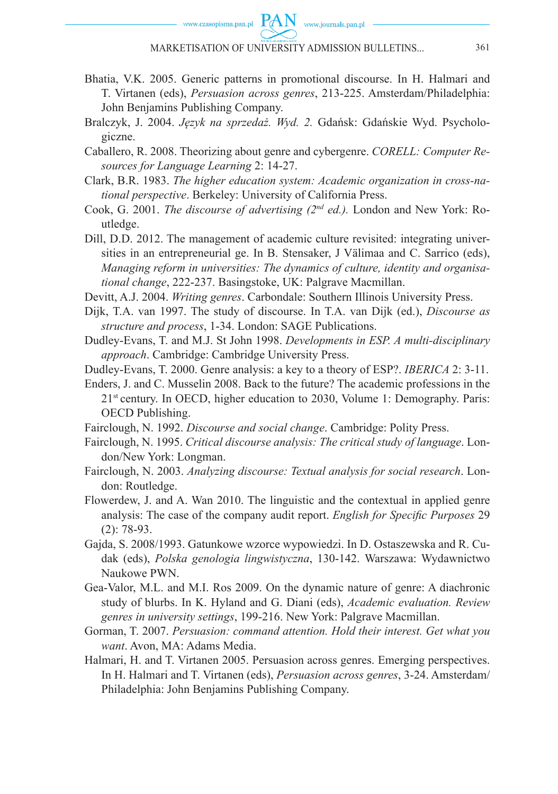

- Bhatia, V.K. 2005. Generic patterns in promotional discourse. In H. Halmari and T. Virtanen (eds), *Persuasion across genres*, 213-225. Amsterdam/Philadelphia: John Benjamins Publishing Company.
- Bralczyk, J. 2004. *Język na sprzedaż. Wyd. 2.* Gdańsk: Gdańskie Wyd. Psychologiczne.
- Caballero, R. 2008. Theorizing about genre and cybergenre. *CORELL: Computer Resources for Language Learning* 2: 14-27.
- Clark, B.R. 1983. *The higher education system: Academic organization in cross-national perspective*. Berkeley: University of California Press.
- Cook, G. 2001. *The discourse of advertising (2nd ed.).* London and New York: Routledge.
- Dill, D.D. 2012. The management of academic culture revisited: integrating universities in an entrepreneurial ge. In B. Stensaker, J Välimaa and C. Sarrico (eds), *Managing reform in universities: The dynamics of culture, identity and organisational change*, 222-237. Basingstoke, UK: Palgrave Macmillan.
- Devitt, A.J. 2004. *Writing genres*. Carbondale: Southern Illinois University Press.
- Dijk, T.A. van 1997. The study of discourse. In T.A. van Dijk (ed.), *Discourse as structure and process*, 1-34. London: SAGE Publications.
- Dudley-Evans, T. and M.J. St John 1998. *Developments in ESP. A multi-disciplinary approach*. Cambridge: Cambridge University Press.
- Dudley-Evans, T. 2000. Genre analysis: a key to a theory of ESP?. *IBERICA* 2: 3-11.
- Enders, J. and C. Musselin 2008. Back to the future? The academic professions in the 21st century. In OECD, higher education to 2030, Volume 1: Demography. Paris: OECD Publishing.
- Fairclough, N. 1992. *Discourse and social change*. Cambridge: Polity Press.
- Fairclough, N. 1995. *Critical discourse analysis: The critical study of language*. London/New York: Longman.
- Fairclough, N. 2003. *Analyzing discourse: Textual analysis for social research*. London: Routledge.
- Flowerdew, J. and A. Wan 2010. The linguistic and the contextual in applied genre analysis: The case of the company audit report. *English for Specific Purposes* 29 (2): 78-93.
- Gajda, S. 2008/1993. Gatunkowe wzorce wypowiedzi. In D. Ostaszewska and R. Cudak (eds), *Polska genologia lingwistyczna*, 130-142. Warszawa: Wydawnictwo Naukowe PWN.
- Gea-Valor, M.L. and M.I. Ros 2009. On the dynamic nature of genre: A diachronic study of blurbs. In K. Hyland and G. Diani (eds), *Academic evaluation. Review genres in university settings*, 199-216. New York: Palgrave Macmillan.
- Gorman, T. 2007. *Persuasion: command attention. Hold their interest. Get what you want*. Avon, MA: Adams Media.
- Halmari, H. and T. Virtanen 2005. Persuasion across genres. Emerging perspectives. In H. Halmari and T. Virtanen (eds), *Persuasion across genres*, 3-24. Amsterdam/ Philadelphia: John Benjamins Publishing Company.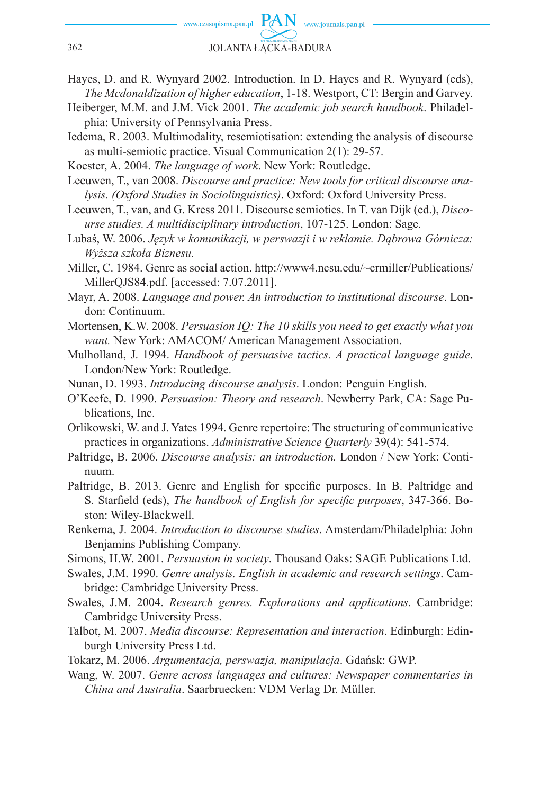- Hayes, D. and R. Wynyard 2002. Introduction. In D. Hayes and R. Wynyard (eds), *The Mcdonaldization of higher education*, 1-18. Westport, CT: Bergin and Garvey.
- Heiberger, M.M. and J.M. Vick 2001. *The academic job search handbook*. Philadelphia: University of Pennsylvania Press.
- Iedema, R. 2003. Multimodality, resemiotisation: extending the analysis of discourse as multi-semiotic practice. Visual Communication 2(1): 29-57.
- Koester, A. 2004. *The language of work*. New York: Routledge.
- Leeuwen, T., van 2008. *Discourse and practice: New tools for critical discourse analysis. (Oxford Studies in Sociolinguistics)*. Oxford: Oxford University Press.
- Leeuwen, T., van, and G. Kress 2011. Discourse semiotics. In T. van Dijk (ed.), *Discourse studies. A multidisciplinary introduction*, 107-125. London: Sage.
- Lubaś, W. 2006. *Język w komunikacji, w perswazji i w reklamie. Dąbrowa Górnicza: Wyższa szkoła Biznesu.*
- Miller, C. 1984. Genre as social action. http://www4.ncsu.edu/~crmiller/Publications/ MillerQJS84.pdf. [accessed: 7.07.2011].
- Mayr, A. 2008. *Language and power. An introduction to institutional discourse*. London: Continuum.
- Mortensen, K.W. 2008. *Persuasion IQ: The 10 skills you need to get exactly what you want.* New York: AMACOM/ American Management Association.
- Mulholland, J. 1994. *Handbook of persuasive tactics. A practical language guide*. London/New York: Routledge.
- Nunan, D. 1993. *Introducing discourse analysis*. London: Penguin English.
- O'Keefe, D. 1990. *Persuasion: Theory and research*. Newberry Park, CA: Sage Publications, Inc.
- Orlikowski, W. and J. Yates 1994. Genre repertoire: The structuring of communicative practices in organizations. *Administrative Science Quarterly* 39(4): 541-574.
- Paltridge, B. 2006. *Discourse analysis: an introduction.* London / New York: Continuum.
- Paltridge, B. 2013. Genre and English for specific purposes. In B. Paltridge and S. Starfield (eds), *The handbook of English for specific purposes*, 347-366. Boston: Wiley-Blackwell.
- Renkema, J. 2004. *Introduction to discourse studies*. Amsterdam/Philadelphia: John Benjamins Publishing Company.
- Simons, H.W. 2001. *Persuasion in society*. Thousand Oaks: SAGE Publications Ltd.
- Swales, J.M. 1990. *Genre analysis. English in academic and research settings*. Cambridge: Cambridge University Press.
- Swales, J.M. 2004. *Research genres. Explorations and applications*. Cambridge: Cambridge University Press.
- Talbot, M. 2007. *Media discourse: Representation and interaction*. Edinburgh: Edinburgh University Press Ltd.
- Tokarz, M. 2006. *Argumentacja, perswazja, manipulacja*. Gdańsk: GWP.
- Wang, W. 2007. *Genre across languages and cultures: Newspaper commentaries in China and Australia*. Saarbruecken: VDM Verlag Dr. Müller.